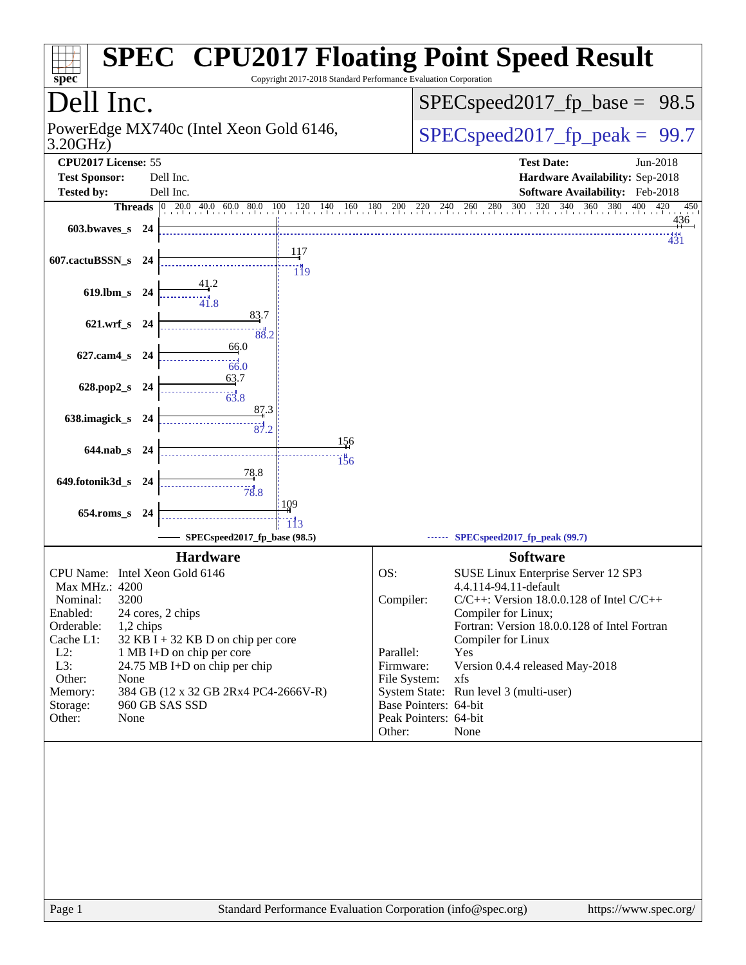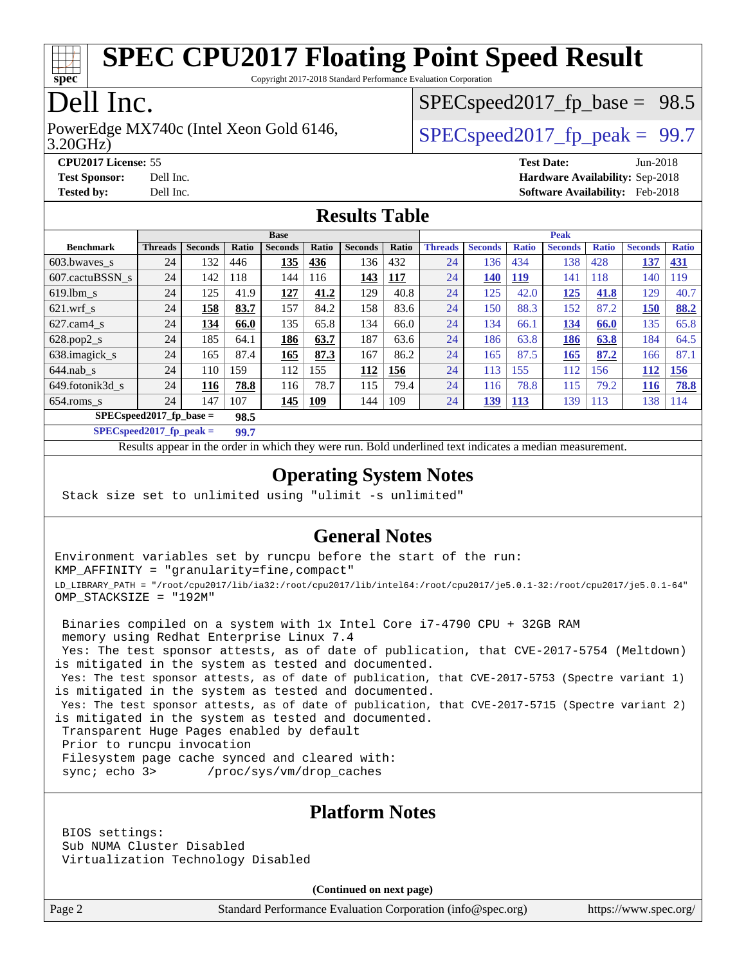

Copyright 2017-2018 Standard Performance Evaluation Corporation

# Dell Inc.

3.20GHz) PowerEdge MX740c (Intel Xeon Gold 6146,  $\vert$  [SPECspeed2017\\_fp\\_peak =](http://www.spec.org/auto/cpu2017/Docs/result-fields.html#SPECspeed2017fppeak) 99.7

 $SPECspeed2017_fp\_base = 98.5$ 

**[CPU2017 License:](http://www.spec.org/auto/cpu2017/Docs/result-fields.html#CPU2017License)** 55 **[Test Date:](http://www.spec.org/auto/cpu2017/Docs/result-fields.html#TestDate)** Jun-2018

**[Test Sponsor:](http://www.spec.org/auto/cpu2017/Docs/result-fields.html#TestSponsor)** Dell Inc. **[Hardware Availability:](http://www.spec.org/auto/cpu2017/Docs/result-fields.html#HardwareAvailability)** Sep-2018 **[Tested by:](http://www.spec.org/auto/cpu2017/Docs/result-fields.html#Testedby)** Dell Inc. **[Software Availability:](http://www.spec.org/auto/cpu2017/Docs/result-fields.html#SoftwareAvailability)** Feb-2018

### **[Results Table](http://www.spec.org/auto/cpu2017/Docs/result-fields.html#ResultsTable)**

|                                    | <b>Base</b>    |                |       |                |            |                |            | <b>Peak</b>    |                |              |                |              |                |              |
|------------------------------------|----------------|----------------|-------|----------------|------------|----------------|------------|----------------|----------------|--------------|----------------|--------------|----------------|--------------|
| <b>Benchmark</b>                   | <b>Threads</b> | <b>Seconds</b> | Ratio | <b>Seconds</b> | Ratio      | <b>Seconds</b> | Ratio      | <b>Threads</b> | <b>Seconds</b> | <b>Ratio</b> | <b>Seconds</b> | <b>Ratio</b> | <b>Seconds</b> | <b>Ratio</b> |
| 603.bwayes s                       | 24             | 132            | 446   | 135            | 436        | 136            | 432        | 24             | 136            | 434          | 138            | 428          | 137            | <b>431</b>   |
| 607.cactuBSSN s                    | 24             | 142            | 118   | 144            | 116        | 143            | <b>117</b> | 24             | 140            | <u>119</u>   | 141            | 118          | 140            | 119          |
| $619.1$ bm s                       | 24             | 125            | 41.9  | 127            | 41.2       | 129            | 40.8       | 24             | 125            | 42.0         | 125            | 41.8         | 129            | 40.7         |
| $621$ .wrf s                       | 24             | 158            | 83.7  | 157            | 84.2       | 158            | 83.6       | 24             | 150            | 88.3         | 152            | 87.2         | 150            | 88.2         |
| $627.cam4_s$                       | 24             | 134            | 66.0  | 135            | 65.8       | 134            | 66.0       | 24             | 134            | 66.1         | 134            | 66.0         | 135            | 65.8         |
| $628.pop2_s$                       | 24             | 185            | 64.1  | 186            | 63.7       | 187            | 63.6       | 24             | 186            | 63.8         | 186            | 63.8         | 184            | 64.5         |
| 638.imagick_s                      | 24             | 165            | 87.4  | 165            | 87.3       | 167            | 86.2       | 24             | 165            | 87.5         | 165            | 87.2         | 166            | 87.1         |
| $644$ .nab s                       | 24             | 110            | 159   | 112            | 155        | 112            | 156        | 24             | 113            | <b>155</b>   | 112            | 156          | 112            | 156          |
| 649.fotonik3d s                    | 24             | 116            | 78.8  | 116            | 78.7       | 115            | 79.4       | 24             | 116            | 78.8         | 115            | 79.2         | 116            | 78.8         |
| $654$ .roms s                      | 24             | 147            | 107   | <u>145</u>     | <b>109</b> | 144            | 109        | 24             | 139            | <b>113</b>   | 139            | 113          | 138            | 114          |
| $SPEC speed2017$ fp base =<br>98.5 |                |                |       |                |            |                |            |                |                |              |                |              |                |              |

**[SPECspeed2017\\_fp\\_peak =](http://www.spec.org/auto/cpu2017/Docs/result-fields.html#SPECspeed2017fppeak) 99.7**

Results appear in the [order in which they were run.](http://www.spec.org/auto/cpu2017/Docs/result-fields.html#RunOrder) Bold underlined text [indicates a median measurement](http://www.spec.org/auto/cpu2017/Docs/result-fields.html#Median).

### **[Operating System Notes](http://www.spec.org/auto/cpu2017/Docs/result-fields.html#OperatingSystemNotes)**

Stack size set to unlimited using "ulimit -s unlimited"

### **[General Notes](http://www.spec.org/auto/cpu2017/Docs/result-fields.html#GeneralNotes)**

Environment variables set by runcpu before the start of the run: KMP\_AFFINITY = "granularity=fine,compact" LD\_LIBRARY\_PATH = "/root/cpu2017/lib/ia32:/root/cpu2017/lib/intel64:/root/cpu2017/je5.0.1-32:/root/cpu2017/je5.0.1-64" OMP\_STACKSIZE = "192M"

 Binaries compiled on a system with 1x Intel Core i7-4790 CPU + 32GB RAM memory using Redhat Enterprise Linux 7.4 Yes: The test sponsor attests, as of date of publication, that CVE-2017-5754 (Meltdown) is mitigated in the system as tested and documented.

 Yes: The test sponsor attests, as of date of publication, that CVE-2017-5753 (Spectre variant 1) is mitigated in the system as tested and documented.

 Yes: The test sponsor attests, as of date of publication, that CVE-2017-5715 (Spectre variant 2) is mitigated in the system as tested and documented.

Transparent Huge Pages enabled by default

Prior to runcpu invocation

Filesystem page cache synced and cleared with:

sync; echo 3> /proc/sys/vm/drop\_caches

#### **[Platform Notes](http://www.spec.org/auto/cpu2017/Docs/result-fields.html#PlatformNotes)**

 BIOS settings: Sub NUMA Cluster Disabled Virtualization Technology Disabled

**(Continued on next page)**

Page 2 Standard Performance Evaluation Corporation [\(info@spec.org\)](mailto:info@spec.org) <https://www.spec.org/>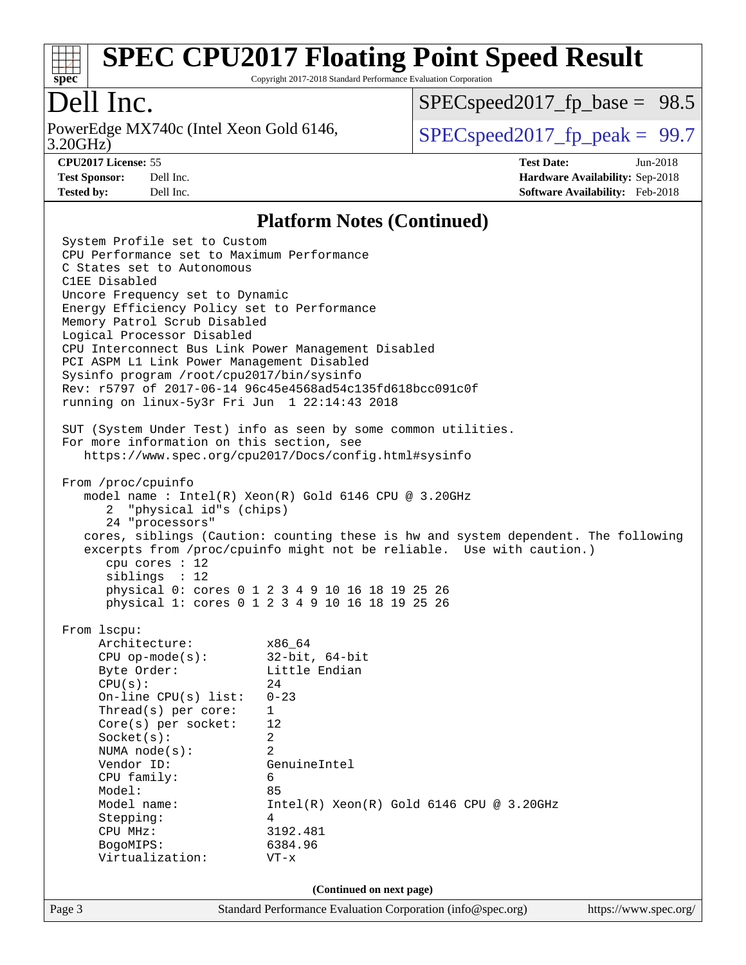

Copyright 2017-2018 Standard Performance Evaluation Corporation

# Dell Inc.

3.20GHz) PowerEdge MX740c (Intel Xeon Gold 6146,  $\vert$  [SPECspeed2017\\_fp\\_peak =](http://www.spec.org/auto/cpu2017/Docs/result-fields.html#SPECspeed2017fppeak) 99.7

 $SPECspeed2017_fp\_base = 98.5$ 

**[CPU2017 License:](http://www.spec.org/auto/cpu2017/Docs/result-fields.html#CPU2017License)** 55 **[Test Date:](http://www.spec.org/auto/cpu2017/Docs/result-fields.html#TestDate)** Jun-2018 **[Test Sponsor:](http://www.spec.org/auto/cpu2017/Docs/result-fields.html#TestSponsor)** Dell Inc. **[Hardware Availability:](http://www.spec.org/auto/cpu2017/Docs/result-fields.html#HardwareAvailability)** Sep-2018 **[Tested by:](http://www.spec.org/auto/cpu2017/Docs/result-fields.html#Testedby)** Dell Inc. **[Software Availability:](http://www.spec.org/auto/cpu2017/Docs/result-fields.html#SoftwareAvailability)** Feb-2018

#### **[Platform Notes \(Continued\)](http://www.spec.org/auto/cpu2017/Docs/result-fields.html#PlatformNotes)**

Page 3 Standard Performance Evaluation Corporation [\(info@spec.org\)](mailto:info@spec.org) <https://www.spec.org/> System Profile set to Custom CPU Performance set to Maximum Performance C States set to Autonomous C1EE Disabled Uncore Frequency set to Dynamic Energy Efficiency Policy set to Performance Memory Patrol Scrub Disabled Logical Processor Disabled CPU Interconnect Bus Link Power Management Disabled PCI ASPM L1 Link Power Management Disabled Sysinfo program /root/cpu2017/bin/sysinfo Rev: r5797 of 2017-06-14 96c45e4568ad54c135fd618bcc091c0f running on linux-5y3r Fri Jun 1 22:14:43 2018 SUT (System Under Test) info as seen by some common utilities. For more information on this section, see <https://www.spec.org/cpu2017/Docs/config.html#sysinfo> From /proc/cpuinfo model name : Intel(R) Xeon(R) Gold 6146 CPU @ 3.20GHz 2 "physical id"s (chips) 24 "processors" cores, siblings (Caution: counting these is hw and system dependent. The following excerpts from /proc/cpuinfo might not be reliable. Use with caution.) cpu cores : 12 siblings : 12 physical 0: cores 0 1 2 3 4 9 10 16 18 19 25 26 physical 1: cores 0 1 2 3 4 9 10 16 18 19 25 26 From lscpu: Architecture: x86\_64 CPU op-mode(s): 32-bit, 64-bit Byte Order: Little Endian  $CPU(s):$  24 On-line CPU(s) list: 0-23 Thread(s) per core: 1 Core(s) per socket: 12 Socket(s): 2 NUMA node(s): 2 Vendor ID: GenuineIntel CPU family: 6 Model: 85 Model name:  $Intel(R)$  Xeon(R) Gold 6146 CPU @ 3.20GHz Stepping: 4 CPU MHz: 3192.481 BogoMIPS: 6384.96 Virtualization: VT-x **(Continued on next page)**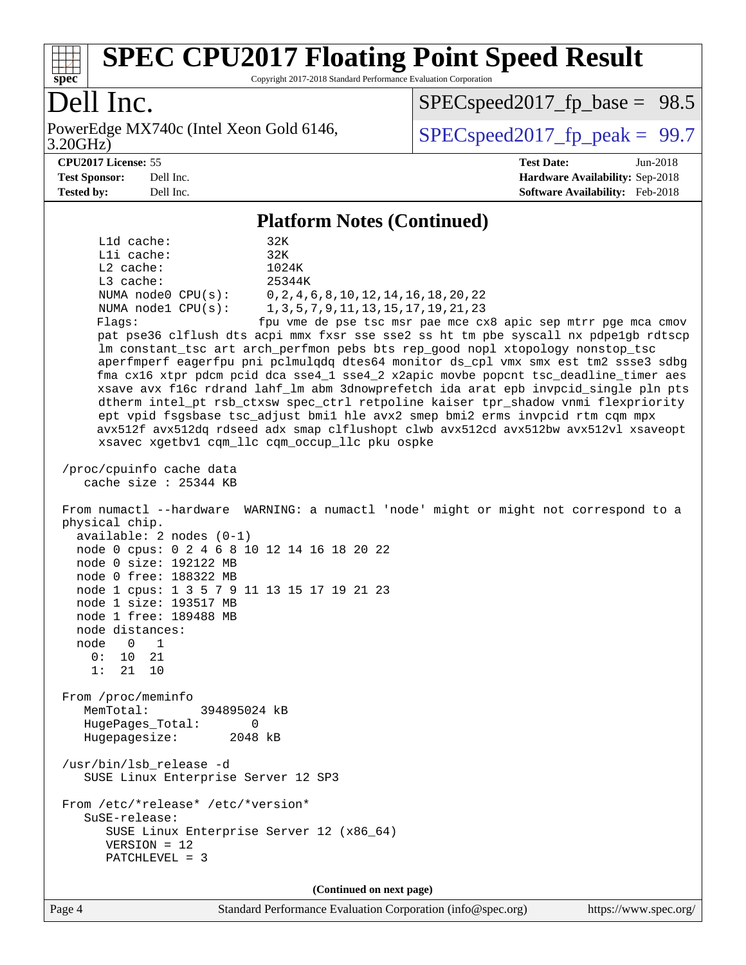

Copyright 2017-2018 Standard Performance Evaluation Corporation

# Dell Inc.

3.20GHz) PowerEdge MX740c (Intel Xeon Gold 6146,  $\vert$  [SPECspeed2017\\_fp\\_peak =](http://www.spec.org/auto/cpu2017/Docs/result-fields.html#SPECspeed2017fppeak) 99.7

[SPECspeed2017\\_fp\\_base =](http://www.spec.org/auto/cpu2017/Docs/result-fields.html#SPECspeed2017fpbase) 98.5

**[CPU2017 License:](http://www.spec.org/auto/cpu2017/Docs/result-fields.html#CPU2017License)** 55 **[Test Date:](http://www.spec.org/auto/cpu2017/Docs/result-fields.html#TestDate)** Jun-2018 **[Test Sponsor:](http://www.spec.org/auto/cpu2017/Docs/result-fields.html#TestSponsor)** Dell Inc. **[Hardware Availability:](http://www.spec.org/auto/cpu2017/Docs/result-fields.html#HardwareAvailability)** Sep-2018 **[Tested by:](http://www.spec.org/auto/cpu2017/Docs/result-fields.html#Testedby)** Dell Inc. **[Software Availability:](http://www.spec.org/auto/cpu2017/Docs/result-fields.html#SoftwareAvailability)** Feb-2018

#### **[Platform Notes \(Continued\)](http://www.spec.org/auto/cpu2017/Docs/result-fields.html#PlatformNotes)**

 L1d cache: 32K L1i cache: 32K L2 cache: 1024K L3 cache: 25344K NUMA node0 CPU(s): 0,2,4,6,8,10,12,14,16,18,20,22 NUMA node1 CPU(s): 1,3,5,7,9,11,13,15,17,19,21,23 Flags: fpu vme de pse tsc msr pae mce cx8 apic sep mtrr pge mca cmov pat pse36 clflush dts acpi mmx fxsr sse sse2 ss ht tm pbe syscall nx pdpe1gb rdtscp lm constant\_tsc art arch\_perfmon pebs bts rep\_good nopl xtopology nonstop\_tsc aperfmperf eagerfpu pni pclmulqdq dtes64 monitor ds\_cpl vmx smx est tm2 ssse3 sdbg fma cx16 xtpr pdcm pcid dca sse4\_1 sse4\_2 x2apic movbe popcnt tsc\_deadline\_timer aes xsave avx f16c rdrand lahf\_lm abm 3dnowprefetch ida arat epb invpcid\_single pln pts dtherm intel\_pt rsb\_ctxsw spec\_ctrl retpoline kaiser tpr\_shadow vnmi flexpriority ept vpid fsgsbase tsc\_adjust bmi1 hle avx2 smep bmi2 erms invpcid rtm cqm mpx avx512f avx512dq rdseed adx smap clflushopt clwb avx512cd avx512bw avx512vl xsaveopt xsavec xgetbv1 cqm\_llc cqm\_occup\_llc pku ospke /proc/cpuinfo cache data cache size : 25344 KB From numactl --hardware WARNING: a numactl 'node' might or might not correspond to a physical chip. available: 2 nodes (0-1) node 0 cpus: 0 2 4 6 8 10 12 14 16 18 20 22 node 0 size: 192122 MB node 0 free: 188322 MB node 1 cpus: 1 3 5 7 9 11 13 15 17 19 21 23 node 1 size: 193517 MB node 1 free: 189488 MB node distances: node 0 1  $0: 10 21$  1: 21 10 From /proc/meminfo MemTotal: 394895024 kB HugePages\_Total: 0 Hugepagesize: 2048 kB /usr/bin/lsb\_release -d SUSE Linux Enterprise Server 12 SP3 From /etc/\*release\* /etc/\*version\* SuSE-release: SUSE Linux Enterprise Server 12 (x86\_64) VERSION = 12 PATCHLEVEL = 3

**(Continued on next page)**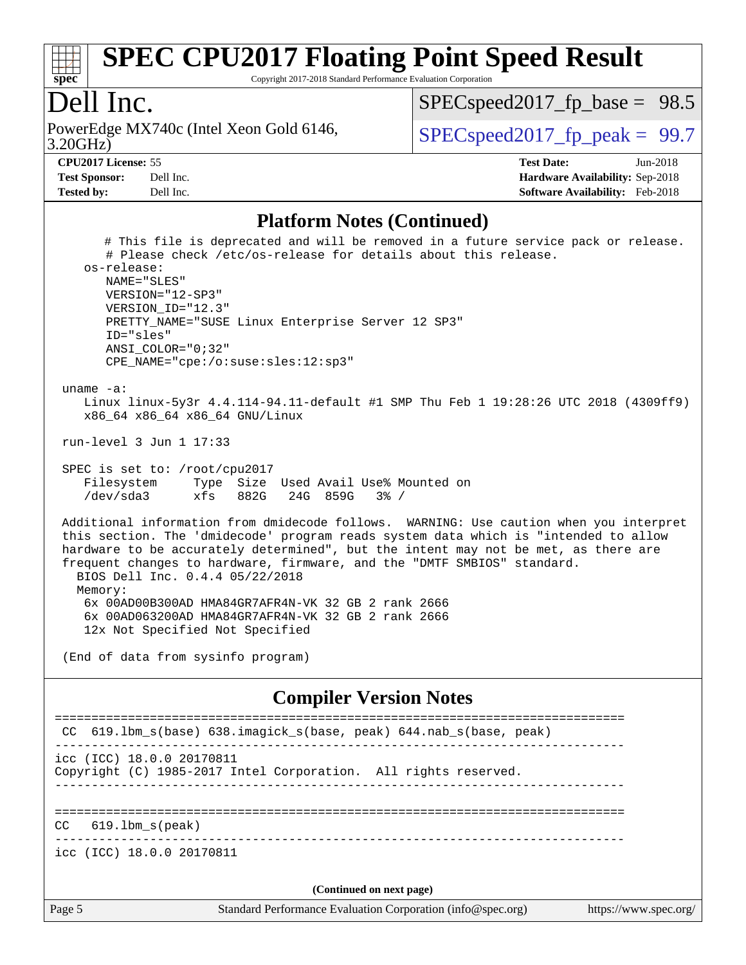

Copyright 2017-2018 Standard Performance Evaluation Corporation

### Dell Inc.

3.20GHz) PowerEdge MX740c (Intel Xeon Gold 6146,  $\vert$  [SPECspeed2017\\_fp\\_peak =](http://www.spec.org/auto/cpu2017/Docs/result-fields.html#SPECspeed2017fppeak) 99.7

 $SPECspeed2017_fp\_base = 98.5$ 

**[Test Sponsor:](http://www.spec.org/auto/cpu2017/Docs/result-fields.html#TestSponsor)** Dell Inc. **[Hardware Availability:](http://www.spec.org/auto/cpu2017/Docs/result-fields.html#HardwareAvailability)** Sep-2018 **[Tested by:](http://www.spec.org/auto/cpu2017/Docs/result-fields.html#Testedby)** Dell Inc. **[Software Availability:](http://www.spec.org/auto/cpu2017/Docs/result-fields.html#SoftwareAvailability)** Feb-2018

**[CPU2017 License:](http://www.spec.org/auto/cpu2017/Docs/result-fields.html#CPU2017License)** 55 **[Test Date:](http://www.spec.org/auto/cpu2017/Docs/result-fields.html#TestDate)** Jun-2018

#### **[Platform Notes \(Continued\)](http://www.spec.org/auto/cpu2017/Docs/result-fields.html#PlatformNotes)**

 # This file is deprecated and will be removed in a future service pack or release. # Please check /etc/os-release for details about this release. os-release: NAME="SLES" VERSION="12-SP3" VERSION\_ID="12.3" PRETTY\_NAME="SUSE Linux Enterprise Server 12 SP3" ID="sles" ANSI\_COLOR="0;32" CPE\_NAME="cpe:/o:suse:sles:12:sp3" uname -a: Linux linux-5y3r 4.4.114-94.11-default #1 SMP Thu Feb 1 19:28:26 UTC 2018 (4309ff9) x86\_64 x86\_64 x86\_64 GNU/Linux run-level 3 Jun 1 17:33 SPEC is set to: /root/cpu2017 Filesystem Type Size Used Avail Use% Mounted on /dev/sda3 xfs 882G 24G 859G 3% / Additional information from dmidecode follows. WARNING: Use caution when you interpret this section. The 'dmidecode' program reads system data which is "intended to allow hardware to be accurately determined", but the intent may not be met, as there are frequent changes to hardware, firmware, and the "DMTF SMBIOS" standard. BIOS Dell Inc. 0.4.4 05/22/2018 Memory: 6x 00AD00B300AD HMA84GR7AFR4N-VK 32 GB 2 rank 2666 6x 00AD063200AD HMA84GR7AFR4N-VK 32 GB 2 rank 2666 12x Not Specified Not Specified

(End of data from sysinfo program)

#### **[Compiler Version Notes](http://www.spec.org/auto/cpu2017/Docs/result-fields.html#CompilerVersionNotes)**

| Page 5                    | Standard Performance Evaluation Corporation (info@spec.org)     | https://www.spec.org/ |
|---------------------------|-----------------------------------------------------------------|-----------------------|
|                           | (Continued on next page)                                        |                       |
| icc (ICC) 18.0.0 20170811 |                                                                 |                       |
| $619.1$ bm s(peak)<br>CC. |                                                                 |                       |
| icc (ICC) 18.0.0 20170811 | Copyright (C) 1985-2017 Intel Corporation. All rights reserved. |                       |
| CC                        | 619.1bm_s(base) 638.imagick_s(base, peak) 644.nab_s(base, peak) |                       |
|                           |                                                                 |                       |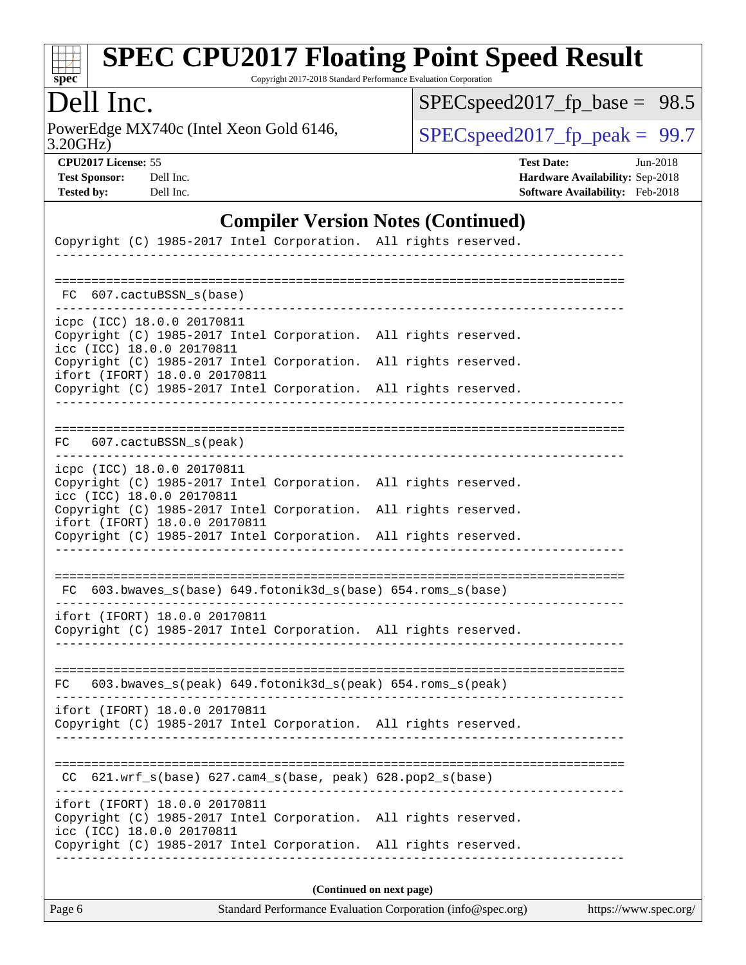

Copyright 2017-2018 Standard Performance Evaluation Corporation

# Dell Inc.

3.20GHz) PowerEdge MX740c (Intel Xeon Gold 6146,  $\text{SPEC speed2017\_fp\_peak} = 99.7$ 

[SPECspeed2017\\_fp\\_base =](http://www.spec.org/auto/cpu2017/Docs/result-fields.html#SPECspeed2017fpbase) 98.5

**[CPU2017 License:](http://www.spec.org/auto/cpu2017/Docs/result-fields.html#CPU2017License)** 55 **[Test Date:](http://www.spec.org/auto/cpu2017/Docs/result-fields.html#TestDate)** Jun-2018 **[Test Sponsor:](http://www.spec.org/auto/cpu2017/Docs/result-fields.html#TestSponsor)** Dell Inc. **[Hardware Availability:](http://www.spec.org/auto/cpu2017/Docs/result-fields.html#HardwareAvailability)** Sep-2018 **[Tested by:](http://www.spec.org/auto/cpu2017/Docs/result-fields.html#Testedby)** Dell Inc. **[Software Availability:](http://www.spec.org/auto/cpu2017/Docs/result-fields.html#SoftwareAvailability)** Feb-2018

### **[Compiler Version Notes \(Continued\)](http://www.spec.org/auto/cpu2017/Docs/result-fields.html#CompilerVersionNotes)**

| Copyright (C) 1985-2017 Intel Corporation. All rights reserved.                                         |  |  |  |  |  |  |  |
|---------------------------------------------------------------------------------------------------------|--|--|--|--|--|--|--|
|                                                                                                         |  |  |  |  |  |  |  |
| FC 607.cactuBSSN s(base)                                                                                |  |  |  |  |  |  |  |
| icpc (ICC) 18.0.0 20170811                                                                              |  |  |  |  |  |  |  |
| Copyright (C) 1985-2017 Intel Corporation. All rights reserved.<br>icc (ICC) 18.0.0 20170811            |  |  |  |  |  |  |  |
| Copyright (C) 1985-2017 Intel Corporation. All rights reserved.<br>ifort (IFORT) 18.0.0 20170811        |  |  |  |  |  |  |  |
| Copyright (C) 1985-2017 Intel Corporation. All rights reserved.                                         |  |  |  |  |  |  |  |
|                                                                                                         |  |  |  |  |  |  |  |
| FC 607.cactuBSSN_s(peak)                                                                                |  |  |  |  |  |  |  |
| icpc (ICC) 18.0.0 20170811                                                                              |  |  |  |  |  |  |  |
| Copyright (C) 1985-2017 Intel Corporation. All rights reserved.<br>icc (ICC) 18.0.0 20170811            |  |  |  |  |  |  |  |
| Copyright (C) 1985-2017 Intel Corporation. All rights reserved.<br>ifort (IFORT) 18.0.0 20170811        |  |  |  |  |  |  |  |
| Copyright (C) 1985-2017 Intel Corporation. All rights reserved.<br>____________________________________ |  |  |  |  |  |  |  |
|                                                                                                         |  |  |  |  |  |  |  |
| FC 603.bwaves_s(base) 649.fotonik3d_s(base) 654.roms_s(base)                                            |  |  |  |  |  |  |  |
| ifort (IFORT) 18.0.0 20170811<br>Copyright (C) 1985-2017 Intel Corporation. All rights reserved.        |  |  |  |  |  |  |  |
|                                                                                                         |  |  |  |  |  |  |  |
|                                                                                                         |  |  |  |  |  |  |  |
| 603.bwaves_s(peak) 649.fotonik3d_s(peak) 654.roms_s(peak)<br>FC                                         |  |  |  |  |  |  |  |
| ifort (IFORT) 18.0.0 20170811<br>Copyright (C) 1985-2017 Intel Corporation. All rights reserved.        |  |  |  |  |  |  |  |
|                                                                                                         |  |  |  |  |  |  |  |
| $CC$ 621.wrf_s(base) 627.cam4_s(base, peak) 628.pop2_s(base)                                            |  |  |  |  |  |  |  |
| ifort (IFORT) 18.0.0 20170811                                                                           |  |  |  |  |  |  |  |
| Copyright (C) 1985-2017 Intel Corporation. All rights reserved.<br>icc (ICC) 18.0.0 20170811            |  |  |  |  |  |  |  |
| Copyright (C) 1985-2017 Intel Corporation. All rights reserved.                                         |  |  |  |  |  |  |  |
|                                                                                                         |  |  |  |  |  |  |  |
| (Continued on next page)                                                                                |  |  |  |  |  |  |  |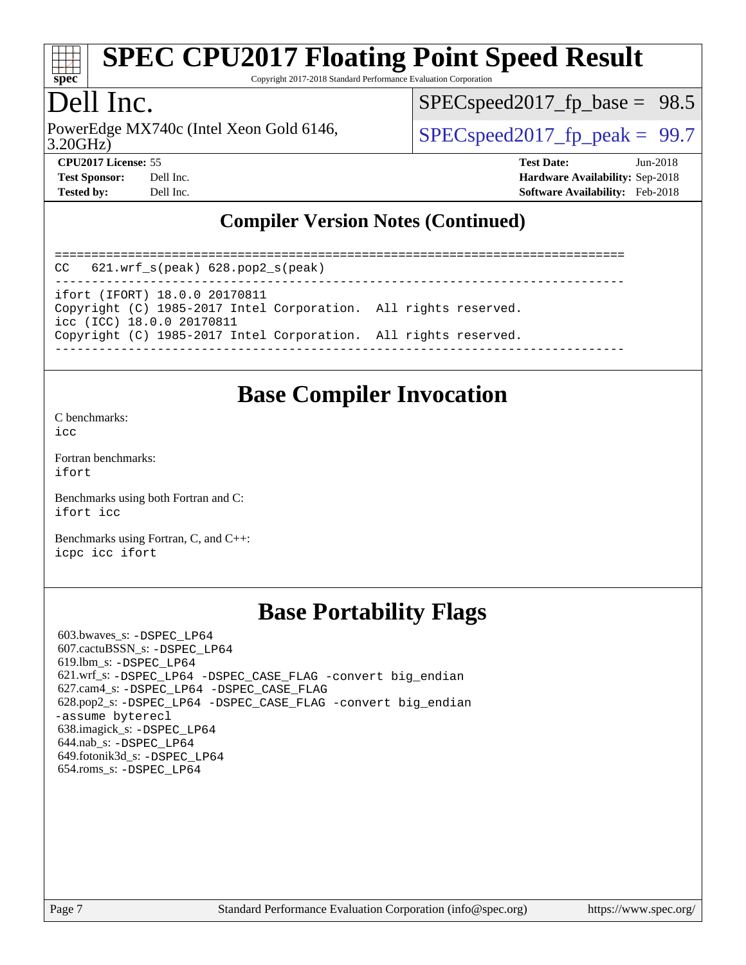

Copyright 2017-2018 Standard Performance Evaluation Corporation

# Dell Inc.

PowerEdge MX740c (Intel Xeon Gold 6146,  $\vert$  [SPECspeed2017\\_fp\\_peak =](http://www.spec.org/auto/cpu2017/Docs/result-fields.html#SPECspeed2017fppeak) 99.7

 $SPECspeed2017_fp\_base = 98.5$ 

3.20GHz)

**[CPU2017 License:](http://www.spec.org/auto/cpu2017/Docs/result-fields.html#CPU2017License)** 55 **[Test Date:](http://www.spec.org/auto/cpu2017/Docs/result-fields.html#TestDate)** Jun-2018 **[Test Sponsor:](http://www.spec.org/auto/cpu2017/Docs/result-fields.html#TestSponsor)** Dell Inc. **[Hardware Availability:](http://www.spec.org/auto/cpu2017/Docs/result-fields.html#HardwareAvailability)** Sep-2018 **[Tested by:](http://www.spec.org/auto/cpu2017/Docs/result-fields.html#Testedby)** Dell Inc. **[Software Availability:](http://www.spec.org/auto/cpu2017/Docs/result-fields.html#SoftwareAvailability)** Feb-2018

### **[Compiler Version Notes \(Continued\)](http://www.spec.org/auto/cpu2017/Docs/result-fields.html#CompilerVersionNotes)**

============================================================================== CC 621.wrf\_s(peak) 628.pop2\_s(peak) ----------------------------------------------------------------------------- ifort (IFORT) 18.0.0 20170811 Copyright (C) 1985-2017 Intel Corporation. All rights reserved. icc (ICC) 18.0.0 20170811 Copyright (C) 1985-2017 Intel Corporation. All rights reserved. ------------------------------------------------------------------------------

### **[Base Compiler Invocation](http://www.spec.org/auto/cpu2017/Docs/result-fields.html#BaseCompilerInvocation)**

[C benchmarks](http://www.spec.org/auto/cpu2017/Docs/result-fields.html#Cbenchmarks): [icc](http://www.spec.org/cpu2017/results/res2018q4/cpu2017-20181001-09025.flags.html#user_CCbase_intel_icc_18.0_66fc1ee009f7361af1fbd72ca7dcefbb700085f36577c54f309893dd4ec40d12360134090235512931783d35fd58c0460139e722d5067c5574d8eaf2b3e37e92)

[Fortran benchmarks](http://www.spec.org/auto/cpu2017/Docs/result-fields.html#Fortranbenchmarks): [ifort](http://www.spec.org/cpu2017/results/res2018q4/cpu2017-20181001-09025.flags.html#user_FCbase_intel_ifort_18.0_8111460550e3ca792625aed983ce982f94888b8b503583aa7ba2b8303487b4d8a21a13e7191a45c5fd58ff318f48f9492884d4413fa793fd88dd292cad7027ca)

[Benchmarks using both Fortran and C](http://www.spec.org/auto/cpu2017/Docs/result-fields.html#BenchmarksusingbothFortranandC): [ifort](http://www.spec.org/cpu2017/results/res2018q4/cpu2017-20181001-09025.flags.html#user_CC_FCbase_intel_ifort_18.0_8111460550e3ca792625aed983ce982f94888b8b503583aa7ba2b8303487b4d8a21a13e7191a45c5fd58ff318f48f9492884d4413fa793fd88dd292cad7027ca) [icc](http://www.spec.org/cpu2017/results/res2018q4/cpu2017-20181001-09025.flags.html#user_CC_FCbase_intel_icc_18.0_66fc1ee009f7361af1fbd72ca7dcefbb700085f36577c54f309893dd4ec40d12360134090235512931783d35fd58c0460139e722d5067c5574d8eaf2b3e37e92)

[Benchmarks using Fortran, C, and C++:](http://www.spec.org/auto/cpu2017/Docs/result-fields.html#BenchmarksusingFortranCandCXX) [icpc](http://www.spec.org/cpu2017/results/res2018q4/cpu2017-20181001-09025.flags.html#user_CC_CXX_FCbase_intel_icpc_18.0_c510b6838c7f56d33e37e94d029a35b4a7bccf4766a728ee175e80a419847e808290a9b78be685c44ab727ea267ec2f070ec5dc83b407c0218cded6866a35d07) [icc](http://www.spec.org/cpu2017/results/res2018q4/cpu2017-20181001-09025.flags.html#user_CC_CXX_FCbase_intel_icc_18.0_66fc1ee009f7361af1fbd72ca7dcefbb700085f36577c54f309893dd4ec40d12360134090235512931783d35fd58c0460139e722d5067c5574d8eaf2b3e37e92) [ifort](http://www.spec.org/cpu2017/results/res2018q4/cpu2017-20181001-09025.flags.html#user_CC_CXX_FCbase_intel_ifort_18.0_8111460550e3ca792625aed983ce982f94888b8b503583aa7ba2b8303487b4d8a21a13e7191a45c5fd58ff318f48f9492884d4413fa793fd88dd292cad7027ca)

# **[Base Portability Flags](http://www.spec.org/auto/cpu2017/Docs/result-fields.html#BasePortabilityFlags)**

 603.bwaves\_s: [-DSPEC\\_LP64](http://www.spec.org/cpu2017/results/res2018q4/cpu2017-20181001-09025.flags.html#suite_basePORTABILITY603_bwaves_s_DSPEC_LP64) 607.cactuBSSN\_s: [-DSPEC\\_LP64](http://www.spec.org/cpu2017/results/res2018q4/cpu2017-20181001-09025.flags.html#suite_basePORTABILITY607_cactuBSSN_s_DSPEC_LP64) 619.lbm\_s: [-DSPEC\\_LP64](http://www.spec.org/cpu2017/results/res2018q4/cpu2017-20181001-09025.flags.html#suite_basePORTABILITY619_lbm_s_DSPEC_LP64) 621.wrf\_s: [-DSPEC\\_LP64](http://www.spec.org/cpu2017/results/res2018q4/cpu2017-20181001-09025.flags.html#suite_basePORTABILITY621_wrf_s_DSPEC_LP64) [-DSPEC\\_CASE\\_FLAG](http://www.spec.org/cpu2017/results/res2018q4/cpu2017-20181001-09025.flags.html#b621.wrf_s_baseCPORTABILITY_DSPEC_CASE_FLAG) [-convert big\\_endian](http://www.spec.org/cpu2017/results/res2018q4/cpu2017-20181001-09025.flags.html#user_baseFPORTABILITY621_wrf_s_convert_big_endian_c3194028bc08c63ac5d04de18c48ce6d347e4e562e8892b8bdbdc0214820426deb8554edfa529a3fb25a586e65a3d812c835984020483e7e73212c4d31a38223) 627.cam4\_s: [-DSPEC\\_LP64](http://www.spec.org/cpu2017/results/res2018q4/cpu2017-20181001-09025.flags.html#suite_basePORTABILITY627_cam4_s_DSPEC_LP64) [-DSPEC\\_CASE\\_FLAG](http://www.spec.org/cpu2017/results/res2018q4/cpu2017-20181001-09025.flags.html#b627.cam4_s_baseCPORTABILITY_DSPEC_CASE_FLAG) 628.pop2\_s: [-DSPEC\\_LP64](http://www.spec.org/cpu2017/results/res2018q4/cpu2017-20181001-09025.flags.html#suite_basePORTABILITY628_pop2_s_DSPEC_LP64) [-DSPEC\\_CASE\\_FLAG](http://www.spec.org/cpu2017/results/res2018q4/cpu2017-20181001-09025.flags.html#b628.pop2_s_baseCPORTABILITY_DSPEC_CASE_FLAG) [-convert big\\_endian](http://www.spec.org/cpu2017/results/res2018q4/cpu2017-20181001-09025.flags.html#user_baseFPORTABILITY628_pop2_s_convert_big_endian_c3194028bc08c63ac5d04de18c48ce6d347e4e562e8892b8bdbdc0214820426deb8554edfa529a3fb25a586e65a3d812c835984020483e7e73212c4d31a38223) [-assume byterecl](http://www.spec.org/cpu2017/results/res2018q4/cpu2017-20181001-09025.flags.html#user_baseFPORTABILITY628_pop2_s_assume_byterecl_7e47d18b9513cf18525430bbf0f2177aa9bf368bc7a059c09b2c06a34b53bd3447c950d3f8d6c70e3faf3a05c8557d66a5798b567902e8849adc142926523472) 638.imagick\_s: [-DSPEC\\_LP64](http://www.spec.org/cpu2017/results/res2018q4/cpu2017-20181001-09025.flags.html#suite_basePORTABILITY638_imagick_s_DSPEC_LP64) 644.nab\_s: [-DSPEC\\_LP64](http://www.spec.org/cpu2017/results/res2018q4/cpu2017-20181001-09025.flags.html#suite_basePORTABILITY644_nab_s_DSPEC_LP64) 649.fotonik3d\_s: [-DSPEC\\_LP64](http://www.spec.org/cpu2017/results/res2018q4/cpu2017-20181001-09025.flags.html#suite_basePORTABILITY649_fotonik3d_s_DSPEC_LP64) 654.roms\_s: [-DSPEC\\_LP64](http://www.spec.org/cpu2017/results/res2018q4/cpu2017-20181001-09025.flags.html#suite_basePORTABILITY654_roms_s_DSPEC_LP64)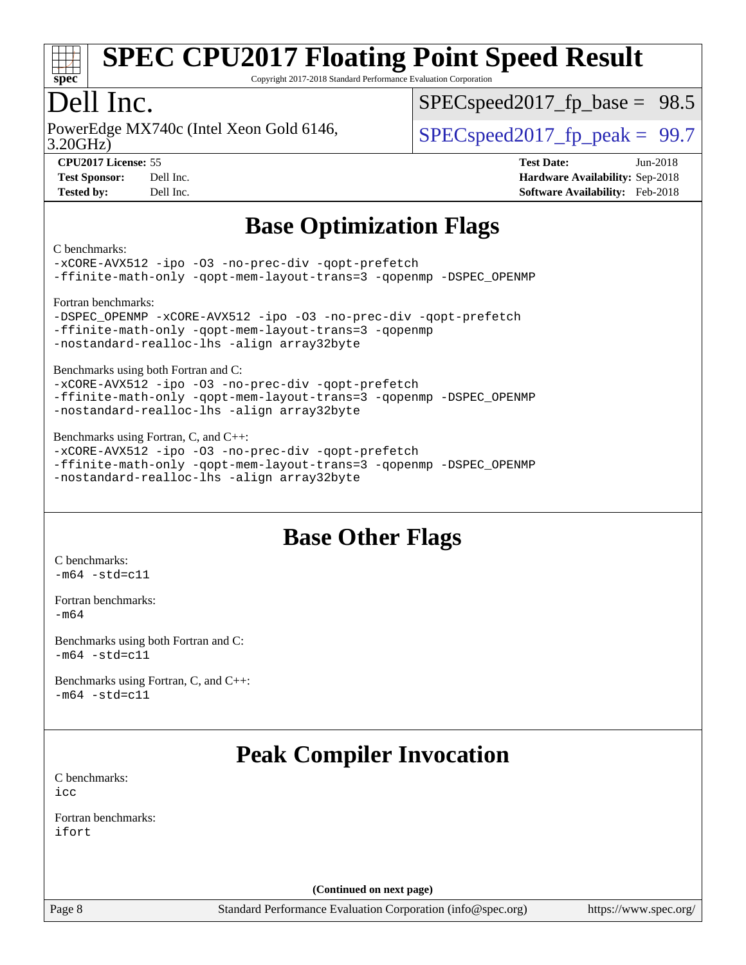

Copyright 2017-2018 Standard Performance Evaluation Corporation

# Dell Inc.

3.20GHz) PowerEdge MX740c (Intel Xeon Gold 6146,  $\vert$  [SPECspeed2017\\_fp\\_peak =](http://www.spec.org/auto/cpu2017/Docs/result-fields.html#SPECspeed2017fppeak) 99.7

 $SPECspeed2017_fp\_base = 98.5$ 

**[CPU2017 License:](http://www.spec.org/auto/cpu2017/Docs/result-fields.html#CPU2017License)** 55 **[Test Date:](http://www.spec.org/auto/cpu2017/Docs/result-fields.html#TestDate)** Jun-2018

**[Test Sponsor:](http://www.spec.org/auto/cpu2017/Docs/result-fields.html#TestSponsor)** Dell Inc. **[Hardware Availability:](http://www.spec.org/auto/cpu2017/Docs/result-fields.html#HardwareAvailability)** Sep-2018 **[Tested by:](http://www.spec.org/auto/cpu2017/Docs/result-fields.html#Testedby)** Dell Inc. **[Software Availability:](http://www.spec.org/auto/cpu2017/Docs/result-fields.html#SoftwareAvailability)** Feb-2018

## **[Base Optimization Flags](http://www.spec.org/auto/cpu2017/Docs/result-fields.html#BaseOptimizationFlags)**

#### [C benchmarks](http://www.spec.org/auto/cpu2017/Docs/result-fields.html#Cbenchmarks):

[-xCORE-AVX512](http://www.spec.org/cpu2017/results/res2018q4/cpu2017-20181001-09025.flags.html#user_CCbase_f-xCORE-AVX512) [-ipo](http://www.spec.org/cpu2017/results/res2018q4/cpu2017-20181001-09025.flags.html#user_CCbase_f-ipo) [-O3](http://www.spec.org/cpu2017/results/res2018q4/cpu2017-20181001-09025.flags.html#user_CCbase_f-O3) [-no-prec-div](http://www.spec.org/cpu2017/results/res2018q4/cpu2017-20181001-09025.flags.html#user_CCbase_f-no-prec-div) [-qopt-prefetch](http://www.spec.org/cpu2017/results/res2018q4/cpu2017-20181001-09025.flags.html#user_CCbase_f-qopt-prefetch) [-ffinite-math-only](http://www.spec.org/cpu2017/results/res2018q4/cpu2017-20181001-09025.flags.html#user_CCbase_f_finite_math_only_cb91587bd2077682c4b38af759c288ed7c732db004271a9512da14a4f8007909a5f1427ecbf1a0fb78ff2a814402c6114ac565ca162485bbcae155b5e4258871) [-qopt-mem-layout-trans=3](http://www.spec.org/cpu2017/results/res2018q4/cpu2017-20181001-09025.flags.html#user_CCbase_f-qopt-mem-layout-trans_de80db37974c74b1f0e20d883f0b675c88c3b01e9d123adea9b28688d64333345fb62bc4a798493513fdb68f60282f9a726aa07f478b2f7113531aecce732043) [-qopenmp](http://www.spec.org/cpu2017/results/res2018q4/cpu2017-20181001-09025.flags.html#user_CCbase_qopenmp_16be0c44f24f464004c6784a7acb94aca937f053568ce72f94b139a11c7c168634a55f6653758ddd83bcf7b8463e8028bb0b48b77bcddc6b78d5d95bb1df2967) [-DSPEC\\_OPENMP](http://www.spec.org/cpu2017/results/res2018q4/cpu2017-20181001-09025.flags.html#suite_CCbase_DSPEC_OPENMP)

[Fortran benchmarks](http://www.spec.org/auto/cpu2017/Docs/result-fields.html#Fortranbenchmarks):

```
-DSPEC_OPENMP -xCORE-AVX512 -ipo -O3 -no-prec-div -qopt-prefetch
-ffinite-math-only -qopt-mem-layout-trans=3 -qopenmp
-nostandard-realloc-lhs -align array32byte
```
[Benchmarks using both Fortran and C](http://www.spec.org/auto/cpu2017/Docs/result-fields.html#BenchmarksusingbothFortranandC):

[-xCORE-AVX512](http://www.spec.org/cpu2017/results/res2018q4/cpu2017-20181001-09025.flags.html#user_CC_FCbase_f-xCORE-AVX512) [-ipo](http://www.spec.org/cpu2017/results/res2018q4/cpu2017-20181001-09025.flags.html#user_CC_FCbase_f-ipo) [-O3](http://www.spec.org/cpu2017/results/res2018q4/cpu2017-20181001-09025.flags.html#user_CC_FCbase_f-O3) [-no-prec-div](http://www.spec.org/cpu2017/results/res2018q4/cpu2017-20181001-09025.flags.html#user_CC_FCbase_f-no-prec-div) [-qopt-prefetch](http://www.spec.org/cpu2017/results/res2018q4/cpu2017-20181001-09025.flags.html#user_CC_FCbase_f-qopt-prefetch) [-ffinite-math-only](http://www.spec.org/cpu2017/results/res2018q4/cpu2017-20181001-09025.flags.html#user_CC_FCbase_f_finite_math_only_cb91587bd2077682c4b38af759c288ed7c732db004271a9512da14a4f8007909a5f1427ecbf1a0fb78ff2a814402c6114ac565ca162485bbcae155b5e4258871) [-qopt-mem-layout-trans=3](http://www.spec.org/cpu2017/results/res2018q4/cpu2017-20181001-09025.flags.html#user_CC_FCbase_f-qopt-mem-layout-trans_de80db37974c74b1f0e20d883f0b675c88c3b01e9d123adea9b28688d64333345fb62bc4a798493513fdb68f60282f9a726aa07f478b2f7113531aecce732043) [-qopenmp](http://www.spec.org/cpu2017/results/res2018q4/cpu2017-20181001-09025.flags.html#user_CC_FCbase_qopenmp_16be0c44f24f464004c6784a7acb94aca937f053568ce72f94b139a11c7c168634a55f6653758ddd83bcf7b8463e8028bb0b48b77bcddc6b78d5d95bb1df2967) [-DSPEC\\_OPENMP](http://www.spec.org/cpu2017/results/res2018q4/cpu2017-20181001-09025.flags.html#suite_CC_FCbase_DSPEC_OPENMP) [-nostandard-realloc-lhs](http://www.spec.org/cpu2017/results/res2018q4/cpu2017-20181001-09025.flags.html#user_CC_FCbase_f_2003_std_realloc_82b4557e90729c0f113870c07e44d33d6f5a304b4f63d4c15d2d0f1fab99f5daaed73bdb9275d9ae411527f28b936061aa8b9c8f2d63842963b95c9dd6426b8a) [-align array32byte](http://www.spec.org/cpu2017/results/res2018q4/cpu2017-20181001-09025.flags.html#user_CC_FCbase_align_array32byte_b982fe038af199962ba9a80c053b8342c548c85b40b8e86eb3cc33dee0d7986a4af373ac2d51c3f7cf710a18d62fdce2948f201cd044323541f22fc0fffc51b6)

[Benchmarks using Fortran, C, and C++](http://www.spec.org/auto/cpu2017/Docs/result-fields.html#BenchmarksusingFortranCandCXX):

[-xCORE-AVX512](http://www.spec.org/cpu2017/results/res2018q4/cpu2017-20181001-09025.flags.html#user_CC_CXX_FCbase_f-xCORE-AVX512) [-ipo](http://www.spec.org/cpu2017/results/res2018q4/cpu2017-20181001-09025.flags.html#user_CC_CXX_FCbase_f-ipo) [-O3](http://www.spec.org/cpu2017/results/res2018q4/cpu2017-20181001-09025.flags.html#user_CC_CXX_FCbase_f-O3) [-no-prec-div](http://www.spec.org/cpu2017/results/res2018q4/cpu2017-20181001-09025.flags.html#user_CC_CXX_FCbase_f-no-prec-div) [-qopt-prefetch](http://www.spec.org/cpu2017/results/res2018q4/cpu2017-20181001-09025.flags.html#user_CC_CXX_FCbase_f-qopt-prefetch) [-ffinite-math-only](http://www.spec.org/cpu2017/results/res2018q4/cpu2017-20181001-09025.flags.html#user_CC_CXX_FCbase_f_finite_math_only_cb91587bd2077682c4b38af759c288ed7c732db004271a9512da14a4f8007909a5f1427ecbf1a0fb78ff2a814402c6114ac565ca162485bbcae155b5e4258871) [-qopt-mem-layout-trans=3](http://www.spec.org/cpu2017/results/res2018q4/cpu2017-20181001-09025.flags.html#user_CC_CXX_FCbase_f-qopt-mem-layout-trans_de80db37974c74b1f0e20d883f0b675c88c3b01e9d123adea9b28688d64333345fb62bc4a798493513fdb68f60282f9a726aa07f478b2f7113531aecce732043) [-qopenmp](http://www.spec.org/cpu2017/results/res2018q4/cpu2017-20181001-09025.flags.html#user_CC_CXX_FCbase_qopenmp_16be0c44f24f464004c6784a7acb94aca937f053568ce72f94b139a11c7c168634a55f6653758ddd83bcf7b8463e8028bb0b48b77bcddc6b78d5d95bb1df2967) [-DSPEC\\_OPENMP](http://www.spec.org/cpu2017/results/res2018q4/cpu2017-20181001-09025.flags.html#suite_CC_CXX_FCbase_DSPEC_OPENMP) [-nostandard-realloc-lhs](http://www.spec.org/cpu2017/results/res2018q4/cpu2017-20181001-09025.flags.html#user_CC_CXX_FCbase_f_2003_std_realloc_82b4557e90729c0f113870c07e44d33d6f5a304b4f63d4c15d2d0f1fab99f5daaed73bdb9275d9ae411527f28b936061aa8b9c8f2d63842963b95c9dd6426b8a) [-align array32byte](http://www.spec.org/cpu2017/results/res2018q4/cpu2017-20181001-09025.flags.html#user_CC_CXX_FCbase_align_array32byte_b982fe038af199962ba9a80c053b8342c548c85b40b8e86eb3cc33dee0d7986a4af373ac2d51c3f7cf710a18d62fdce2948f201cd044323541f22fc0fffc51b6)

### **[Base Other Flags](http://www.spec.org/auto/cpu2017/Docs/result-fields.html#BaseOtherFlags)**

[C benchmarks](http://www.spec.org/auto/cpu2017/Docs/result-fields.html#Cbenchmarks):  $-m64 - std= c11$  $-m64 - std= c11$ 

[Fortran benchmarks](http://www.spec.org/auto/cpu2017/Docs/result-fields.html#Fortranbenchmarks): [-m64](http://www.spec.org/cpu2017/results/res2018q4/cpu2017-20181001-09025.flags.html#user_FCbase_intel_intel64_18.0_af43caccfc8ded86e7699f2159af6efc7655f51387b94da716254467f3c01020a5059329e2569e4053f409e7c9202a7efc638f7a6d1ffb3f52dea4a3e31d82ab)

[Benchmarks using both Fortran and C](http://www.spec.org/auto/cpu2017/Docs/result-fields.html#BenchmarksusingbothFortranandC):  $-m64$   $-std=cl1$ 

[Benchmarks using Fortran, C, and C++:](http://www.spec.org/auto/cpu2017/Docs/result-fields.html#BenchmarksusingFortranCandCXX)  $-m64 - std= c11$  $-m64 - std= c11$ 

# **[Peak Compiler Invocation](http://www.spec.org/auto/cpu2017/Docs/result-fields.html#PeakCompilerInvocation)**

[C benchmarks](http://www.spec.org/auto/cpu2017/Docs/result-fields.html#Cbenchmarks): [icc](http://www.spec.org/cpu2017/results/res2018q4/cpu2017-20181001-09025.flags.html#user_CCpeak_intel_icc_18.0_66fc1ee009f7361af1fbd72ca7dcefbb700085f36577c54f309893dd4ec40d12360134090235512931783d35fd58c0460139e722d5067c5574d8eaf2b3e37e92)

[Fortran benchmarks](http://www.spec.org/auto/cpu2017/Docs/result-fields.html#Fortranbenchmarks): [ifort](http://www.spec.org/cpu2017/results/res2018q4/cpu2017-20181001-09025.flags.html#user_FCpeak_intel_ifort_18.0_8111460550e3ca792625aed983ce982f94888b8b503583aa7ba2b8303487b4d8a21a13e7191a45c5fd58ff318f48f9492884d4413fa793fd88dd292cad7027ca)

**(Continued on next page)**

Page 8 Standard Performance Evaluation Corporation [\(info@spec.org\)](mailto:info@spec.org) <https://www.spec.org/>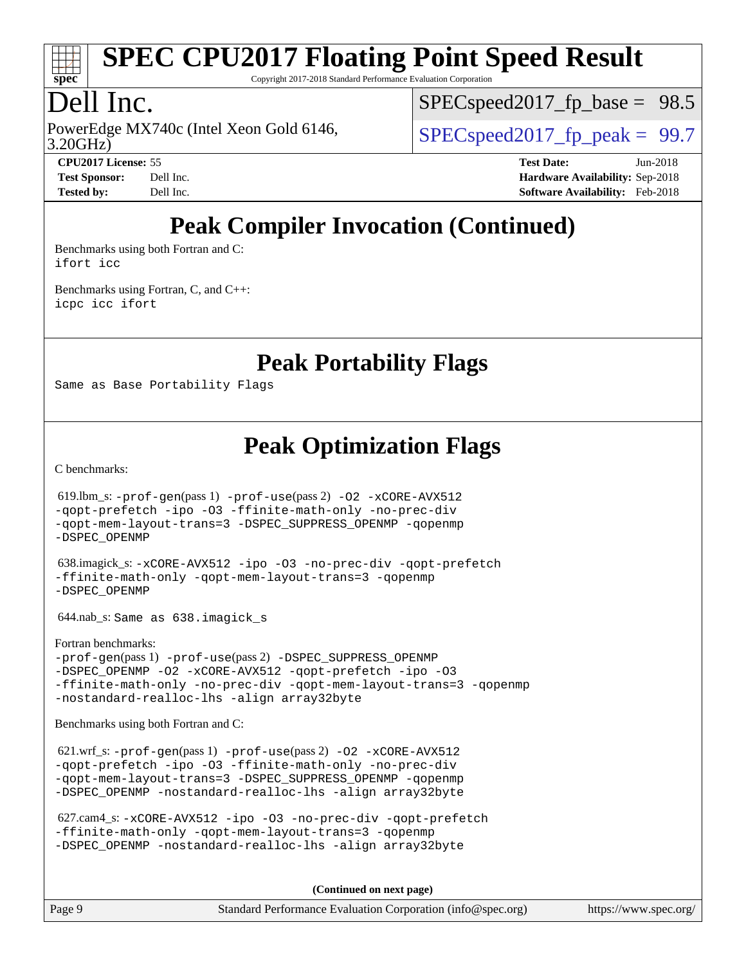

Copyright 2017-2018 Standard Performance Evaluation Corporation

# Dell Inc.

3.20GHz) PowerEdge MX740c (Intel Xeon Gold 6146,  $\vert$  [SPECspeed2017\\_fp\\_peak =](http://www.spec.org/auto/cpu2017/Docs/result-fields.html#SPECspeed2017fppeak) 99.7

 $SPECspeed2017_fp\_base = 98.5$ 

**[CPU2017 License:](http://www.spec.org/auto/cpu2017/Docs/result-fields.html#CPU2017License)** 55 **[Test Date:](http://www.spec.org/auto/cpu2017/Docs/result-fields.html#TestDate)** Jun-2018 **[Test Sponsor:](http://www.spec.org/auto/cpu2017/Docs/result-fields.html#TestSponsor)** Dell Inc. **[Hardware Availability:](http://www.spec.org/auto/cpu2017/Docs/result-fields.html#HardwareAvailability)** Sep-2018 **[Tested by:](http://www.spec.org/auto/cpu2017/Docs/result-fields.html#Testedby)** Dell Inc. **[Software Availability:](http://www.spec.org/auto/cpu2017/Docs/result-fields.html#SoftwareAvailability)** Feb-2018

# **[Peak Compiler Invocation \(Continued\)](http://www.spec.org/auto/cpu2017/Docs/result-fields.html#PeakCompilerInvocation)**

[Benchmarks using both Fortran and C](http://www.spec.org/auto/cpu2017/Docs/result-fields.html#BenchmarksusingbothFortranandC): [ifort](http://www.spec.org/cpu2017/results/res2018q4/cpu2017-20181001-09025.flags.html#user_CC_FCpeak_intel_ifort_18.0_8111460550e3ca792625aed983ce982f94888b8b503583aa7ba2b8303487b4d8a21a13e7191a45c5fd58ff318f48f9492884d4413fa793fd88dd292cad7027ca) [icc](http://www.spec.org/cpu2017/results/res2018q4/cpu2017-20181001-09025.flags.html#user_CC_FCpeak_intel_icc_18.0_66fc1ee009f7361af1fbd72ca7dcefbb700085f36577c54f309893dd4ec40d12360134090235512931783d35fd58c0460139e722d5067c5574d8eaf2b3e37e92)

[Benchmarks using Fortran, C, and C++:](http://www.spec.org/auto/cpu2017/Docs/result-fields.html#BenchmarksusingFortranCandCXX) [icpc](http://www.spec.org/cpu2017/results/res2018q4/cpu2017-20181001-09025.flags.html#user_CC_CXX_FCpeak_intel_icpc_18.0_c510b6838c7f56d33e37e94d029a35b4a7bccf4766a728ee175e80a419847e808290a9b78be685c44ab727ea267ec2f070ec5dc83b407c0218cded6866a35d07) [icc](http://www.spec.org/cpu2017/results/res2018q4/cpu2017-20181001-09025.flags.html#user_CC_CXX_FCpeak_intel_icc_18.0_66fc1ee009f7361af1fbd72ca7dcefbb700085f36577c54f309893dd4ec40d12360134090235512931783d35fd58c0460139e722d5067c5574d8eaf2b3e37e92) [ifort](http://www.spec.org/cpu2017/results/res2018q4/cpu2017-20181001-09025.flags.html#user_CC_CXX_FCpeak_intel_ifort_18.0_8111460550e3ca792625aed983ce982f94888b8b503583aa7ba2b8303487b4d8a21a13e7191a45c5fd58ff318f48f9492884d4413fa793fd88dd292cad7027ca)

**[Peak Portability Flags](http://www.spec.org/auto/cpu2017/Docs/result-fields.html#PeakPortabilityFlags)**

Same as Base Portability Flags

### **[Peak Optimization Flags](http://www.spec.org/auto/cpu2017/Docs/result-fields.html#PeakOptimizationFlags)**

[C benchmarks](http://www.spec.org/auto/cpu2017/Docs/result-fields.html#Cbenchmarks):

 619.lbm\_s: [-prof-gen](http://www.spec.org/cpu2017/results/res2018q4/cpu2017-20181001-09025.flags.html#user_peakPASS1_CFLAGSPASS1_LDFLAGS619_lbm_s_prof_gen_5aa4926d6013ddb2a31985c654b3eb18169fc0c6952a63635c234f711e6e63dd76e94ad52365559451ec499a2cdb89e4dc58ba4c67ef54ca681ffbe1461d6b36)(pass 1) [-prof-use](http://www.spec.org/cpu2017/results/res2018q4/cpu2017-20181001-09025.flags.html#user_peakPASS2_CFLAGSPASS2_LDFLAGS619_lbm_s_prof_use_1a21ceae95f36a2b53c25747139a6c16ca95bd9def2a207b4f0849963b97e94f5260e30a0c64f4bb623698870e679ca08317ef8150905d41bd88c6f78df73f19)(pass 2) [-O2](http://www.spec.org/cpu2017/results/res2018q4/cpu2017-20181001-09025.flags.html#user_peakPASS1_COPTIMIZE619_lbm_s_f-O2) [-xCORE-AVX512](http://www.spec.org/cpu2017/results/res2018q4/cpu2017-20181001-09025.flags.html#user_peakPASS2_COPTIMIZE619_lbm_s_f-xCORE-AVX512) [-qopt-prefetch](http://www.spec.org/cpu2017/results/res2018q4/cpu2017-20181001-09025.flags.html#user_peakPASS1_COPTIMIZEPASS2_COPTIMIZE619_lbm_s_f-qopt-prefetch) [-ipo](http://www.spec.org/cpu2017/results/res2018q4/cpu2017-20181001-09025.flags.html#user_peakPASS2_COPTIMIZE619_lbm_s_f-ipo) [-O3](http://www.spec.org/cpu2017/results/res2018q4/cpu2017-20181001-09025.flags.html#user_peakPASS2_COPTIMIZE619_lbm_s_f-O3) [-ffinite-math-only](http://www.spec.org/cpu2017/results/res2018q4/cpu2017-20181001-09025.flags.html#user_peakPASS1_COPTIMIZEPASS2_COPTIMIZE619_lbm_s_f_finite_math_only_cb91587bd2077682c4b38af759c288ed7c732db004271a9512da14a4f8007909a5f1427ecbf1a0fb78ff2a814402c6114ac565ca162485bbcae155b5e4258871) [-no-prec-div](http://www.spec.org/cpu2017/results/res2018q4/cpu2017-20181001-09025.flags.html#user_peakPASS2_COPTIMIZE619_lbm_s_f-no-prec-div) [-qopt-mem-layout-trans=3](http://www.spec.org/cpu2017/results/res2018q4/cpu2017-20181001-09025.flags.html#user_peakPASS1_COPTIMIZEPASS2_COPTIMIZE619_lbm_s_f-qopt-mem-layout-trans_de80db37974c74b1f0e20d883f0b675c88c3b01e9d123adea9b28688d64333345fb62bc4a798493513fdb68f60282f9a726aa07f478b2f7113531aecce732043) [-DSPEC\\_SUPPRESS\\_OPENMP](http://www.spec.org/cpu2017/results/res2018q4/cpu2017-20181001-09025.flags.html#suite_peakPASS1_COPTIMIZE619_lbm_s_DSPEC_SUPPRESS_OPENMP) [-qopenmp](http://www.spec.org/cpu2017/results/res2018q4/cpu2017-20181001-09025.flags.html#user_peakPASS2_COPTIMIZE619_lbm_s_qopenmp_16be0c44f24f464004c6784a7acb94aca937f053568ce72f94b139a11c7c168634a55f6653758ddd83bcf7b8463e8028bb0b48b77bcddc6b78d5d95bb1df2967) [-DSPEC\\_OPENMP](http://www.spec.org/cpu2017/results/res2018q4/cpu2017-20181001-09025.flags.html#suite_peakPASS2_COPTIMIZE619_lbm_s_DSPEC_OPENMP) 638.imagick\_s: [-xCORE-AVX512](http://www.spec.org/cpu2017/results/res2018q4/cpu2017-20181001-09025.flags.html#user_peakCOPTIMIZE638_imagick_s_f-xCORE-AVX512) [-ipo](http://www.spec.org/cpu2017/results/res2018q4/cpu2017-20181001-09025.flags.html#user_peakCOPTIMIZE638_imagick_s_f-ipo) [-O3](http://www.spec.org/cpu2017/results/res2018q4/cpu2017-20181001-09025.flags.html#user_peakCOPTIMIZE638_imagick_s_f-O3) [-no-prec-div](http://www.spec.org/cpu2017/results/res2018q4/cpu2017-20181001-09025.flags.html#user_peakCOPTIMIZE638_imagick_s_f-no-prec-div) [-qopt-prefetch](http://www.spec.org/cpu2017/results/res2018q4/cpu2017-20181001-09025.flags.html#user_peakCOPTIMIZE638_imagick_s_f-qopt-prefetch) [-ffinite-math-only](http://www.spec.org/cpu2017/results/res2018q4/cpu2017-20181001-09025.flags.html#user_peakCOPTIMIZE638_imagick_s_f_finite_math_only_cb91587bd2077682c4b38af759c288ed7c732db004271a9512da14a4f8007909a5f1427ecbf1a0fb78ff2a814402c6114ac565ca162485bbcae155b5e4258871) [-qopt-mem-layout-trans=3](http://www.spec.org/cpu2017/results/res2018q4/cpu2017-20181001-09025.flags.html#user_peakCOPTIMIZE638_imagick_s_f-qopt-mem-layout-trans_de80db37974c74b1f0e20d883f0b675c88c3b01e9d123adea9b28688d64333345fb62bc4a798493513fdb68f60282f9a726aa07f478b2f7113531aecce732043) [-qopenmp](http://www.spec.org/cpu2017/results/res2018q4/cpu2017-20181001-09025.flags.html#user_peakCOPTIMIZE638_imagick_s_qopenmp_16be0c44f24f464004c6784a7acb94aca937f053568ce72f94b139a11c7c168634a55f6653758ddd83bcf7b8463e8028bb0b48b77bcddc6b78d5d95bb1df2967) [-DSPEC\\_OPENMP](http://www.spec.org/cpu2017/results/res2018q4/cpu2017-20181001-09025.flags.html#suite_peakCOPTIMIZE638_imagick_s_DSPEC_OPENMP) 644.nab\_s: Same as 638.imagick\_s [Fortran benchmarks](http://www.spec.org/auto/cpu2017/Docs/result-fields.html#Fortranbenchmarks): [-prof-gen](http://www.spec.org/cpu2017/results/res2018q4/cpu2017-20181001-09025.flags.html#user_FCpeak_prof_gen_5aa4926d6013ddb2a31985c654b3eb18169fc0c6952a63635c234f711e6e63dd76e94ad52365559451ec499a2cdb89e4dc58ba4c67ef54ca681ffbe1461d6b36)(pass 1) [-prof-use](http://www.spec.org/cpu2017/results/res2018q4/cpu2017-20181001-09025.flags.html#user_FCpeak_prof_use_1a21ceae95f36a2b53c25747139a6c16ca95bd9def2a207b4f0849963b97e94f5260e30a0c64f4bb623698870e679ca08317ef8150905d41bd88c6f78df73f19)(pass 2) [-DSPEC\\_SUPPRESS\\_OPENMP](http://www.spec.org/cpu2017/results/res2018q4/cpu2017-20181001-09025.flags.html#suite_FCpeak_DSPEC_SUPPRESS_OPENMP) -DSPEC OPENMP [-O2](http://www.spec.org/cpu2017/results/res2018q4/cpu2017-20181001-09025.flags.html#user_FCpeak_f-O2) [-xCORE-AVX512](http://www.spec.org/cpu2017/results/res2018q4/cpu2017-20181001-09025.flags.html#user_FCpeak_f-xCORE-AVX512) [-qopt-prefetch](http://www.spec.org/cpu2017/results/res2018q4/cpu2017-20181001-09025.flags.html#user_FCpeak_f-qopt-prefetch) [-ipo](http://www.spec.org/cpu2017/results/res2018q4/cpu2017-20181001-09025.flags.html#user_FCpeak_f-ipo) [-O3](http://www.spec.org/cpu2017/results/res2018q4/cpu2017-20181001-09025.flags.html#user_FCpeak_f-O3) [-ffinite-math-only](http://www.spec.org/cpu2017/results/res2018q4/cpu2017-20181001-09025.flags.html#user_FCpeak_f_finite_math_only_cb91587bd2077682c4b38af759c288ed7c732db004271a9512da14a4f8007909a5f1427ecbf1a0fb78ff2a814402c6114ac565ca162485bbcae155b5e4258871) [-no-prec-div](http://www.spec.org/cpu2017/results/res2018q4/cpu2017-20181001-09025.flags.html#user_FCpeak_f-no-prec-div) [-qopt-mem-layout-trans=3](http://www.spec.org/cpu2017/results/res2018q4/cpu2017-20181001-09025.flags.html#user_FCpeak_f-qopt-mem-layout-trans_de80db37974c74b1f0e20d883f0b675c88c3b01e9d123adea9b28688d64333345fb62bc4a798493513fdb68f60282f9a726aa07f478b2f7113531aecce732043) [-qopenmp](http://www.spec.org/cpu2017/results/res2018q4/cpu2017-20181001-09025.flags.html#user_FCpeak_qopenmp_16be0c44f24f464004c6784a7acb94aca937f053568ce72f94b139a11c7c168634a55f6653758ddd83bcf7b8463e8028bb0b48b77bcddc6b78d5d95bb1df2967) [-nostandard-realloc-lhs](http://www.spec.org/cpu2017/results/res2018q4/cpu2017-20181001-09025.flags.html#user_FCpeak_f_2003_std_realloc_82b4557e90729c0f113870c07e44d33d6f5a304b4f63d4c15d2d0f1fab99f5daaed73bdb9275d9ae411527f28b936061aa8b9c8f2d63842963b95c9dd6426b8a) [-align array32byte](http://www.spec.org/cpu2017/results/res2018q4/cpu2017-20181001-09025.flags.html#user_FCpeak_align_array32byte_b982fe038af199962ba9a80c053b8342c548c85b40b8e86eb3cc33dee0d7986a4af373ac2d51c3f7cf710a18d62fdce2948f201cd044323541f22fc0fffc51b6) [Benchmarks using both Fortran and C](http://www.spec.org/auto/cpu2017/Docs/result-fields.html#BenchmarksusingbothFortranandC): 621.wrf\_s: [-prof-gen](http://www.spec.org/cpu2017/results/res2018q4/cpu2017-20181001-09025.flags.html#user_peakPASS1_CFLAGSPASS1_FFLAGSPASS1_LDFLAGS621_wrf_s_prof_gen_5aa4926d6013ddb2a31985c654b3eb18169fc0c6952a63635c234f711e6e63dd76e94ad52365559451ec499a2cdb89e4dc58ba4c67ef54ca681ffbe1461d6b36)(pass 1) [-prof-use](http://www.spec.org/cpu2017/results/res2018q4/cpu2017-20181001-09025.flags.html#user_peakPASS2_CFLAGSPASS2_FFLAGSPASS2_LDFLAGS621_wrf_s_prof_use_1a21ceae95f36a2b53c25747139a6c16ca95bd9def2a207b4f0849963b97e94f5260e30a0c64f4bb623698870e679ca08317ef8150905d41bd88c6f78df73f19)(pass 2) [-O2](http://www.spec.org/cpu2017/results/res2018q4/cpu2017-20181001-09025.flags.html#user_peakPASS1_COPTIMIZEPASS1_FOPTIMIZE621_wrf_s_f-O2) [-xCORE-AVX512](http://www.spec.org/cpu2017/results/res2018q4/cpu2017-20181001-09025.flags.html#user_peakPASS2_COPTIMIZEPASS2_FOPTIMIZE621_wrf_s_f-xCORE-AVX512) [-qopt-prefetch](http://www.spec.org/cpu2017/results/res2018q4/cpu2017-20181001-09025.flags.html#user_peakPASS1_COPTIMIZEPASS1_FOPTIMIZEPASS2_COPTIMIZEPASS2_FOPTIMIZE621_wrf_s_f-qopt-prefetch) [-ipo](http://www.spec.org/cpu2017/results/res2018q4/cpu2017-20181001-09025.flags.html#user_peakPASS2_COPTIMIZEPASS2_FOPTIMIZE621_wrf_s_f-ipo) [-O3](http://www.spec.org/cpu2017/results/res2018q4/cpu2017-20181001-09025.flags.html#user_peakPASS2_COPTIMIZEPASS2_FOPTIMIZE621_wrf_s_f-O3) [-ffinite-math-only](http://www.spec.org/cpu2017/results/res2018q4/cpu2017-20181001-09025.flags.html#user_peakPASS1_COPTIMIZEPASS1_FOPTIMIZEPASS2_COPTIMIZEPASS2_FOPTIMIZE621_wrf_s_f_finite_math_only_cb91587bd2077682c4b38af759c288ed7c732db004271a9512da14a4f8007909a5f1427ecbf1a0fb78ff2a814402c6114ac565ca162485bbcae155b5e4258871) [-no-prec-div](http://www.spec.org/cpu2017/results/res2018q4/cpu2017-20181001-09025.flags.html#user_peakPASS2_COPTIMIZEPASS2_FOPTIMIZE621_wrf_s_f-no-prec-div) [-qopt-mem-layout-trans=3](http://www.spec.org/cpu2017/results/res2018q4/cpu2017-20181001-09025.flags.html#user_peakPASS1_COPTIMIZEPASS1_FOPTIMIZEPASS2_COPTIMIZEPASS2_FOPTIMIZE621_wrf_s_f-qopt-mem-layout-trans_de80db37974c74b1f0e20d883f0b675c88c3b01e9d123adea9b28688d64333345fb62bc4a798493513fdb68f60282f9a726aa07f478b2f7113531aecce732043) [-DSPEC\\_SUPPRESS\\_OPENMP](http://www.spec.org/cpu2017/results/res2018q4/cpu2017-20181001-09025.flags.html#suite_peakPASS1_COPTIMIZEPASS1_FOPTIMIZE621_wrf_s_DSPEC_SUPPRESS_OPENMP) [-qopenmp](http://www.spec.org/cpu2017/results/res2018q4/cpu2017-20181001-09025.flags.html#user_peakPASS2_COPTIMIZEPASS2_FOPTIMIZE621_wrf_s_qopenmp_16be0c44f24f464004c6784a7acb94aca937f053568ce72f94b139a11c7c168634a55f6653758ddd83bcf7b8463e8028bb0b48b77bcddc6b78d5d95bb1df2967) [-DSPEC\\_OPENMP](http://www.spec.org/cpu2017/results/res2018q4/cpu2017-20181001-09025.flags.html#suite_peakPASS2_COPTIMIZEPASS2_FOPTIMIZE621_wrf_s_DSPEC_OPENMP) [-nostandard-realloc-lhs](http://www.spec.org/cpu2017/results/res2018q4/cpu2017-20181001-09025.flags.html#user_peakEXTRA_FOPTIMIZE621_wrf_s_f_2003_std_realloc_82b4557e90729c0f113870c07e44d33d6f5a304b4f63d4c15d2d0f1fab99f5daaed73bdb9275d9ae411527f28b936061aa8b9c8f2d63842963b95c9dd6426b8a) [-align array32byte](http://www.spec.org/cpu2017/results/res2018q4/cpu2017-20181001-09025.flags.html#user_peakEXTRA_FOPTIMIZE621_wrf_s_align_array32byte_b982fe038af199962ba9a80c053b8342c548c85b40b8e86eb3cc33dee0d7986a4af373ac2d51c3f7cf710a18d62fdce2948f201cd044323541f22fc0fffc51b6)

 627.cam4\_s: [-xCORE-AVX512](http://www.spec.org/cpu2017/results/res2018q4/cpu2017-20181001-09025.flags.html#user_peakCOPTIMIZEFOPTIMIZE627_cam4_s_f-xCORE-AVX512) [-ipo](http://www.spec.org/cpu2017/results/res2018q4/cpu2017-20181001-09025.flags.html#user_peakCOPTIMIZEFOPTIMIZE627_cam4_s_f-ipo) [-O3](http://www.spec.org/cpu2017/results/res2018q4/cpu2017-20181001-09025.flags.html#user_peakCOPTIMIZEFOPTIMIZE627_cam4_s_f-O3) [-no-prec-div](http://www.spec.org/cpu2017/results/res2018q4/cpu2017-20181001-09025.flags.html#user_peakCOPTIMIZEFOPTIMIZE627_cam4_s_f-no-prec-div) [-qopt-prefetch](http://www.spec.org/cpu2017/results/res2018q4/cpu2017-20181001-09025.flags.html#user_peakCOPTIMIZEFOPTIMIZE627_cam4_s_f-qopt-prefetch) [-ffinite-math-only](http://www.spec.org/cpu2017/results/res2018q4/cpu2017-20181001-09025.flags.html#user_peakCOPTIMIZEFOPTIMIZE627_cam4_s_f_finite_math_only_cb91587bd2077682c4b38af759c288ed7c732db004271a9512da14a4f8007909a5f1427ecbf1a0fb78ff2a814402c6114ac565ca162485bbcae155b5e4258871) [-qopt-mem-layout-trans=3](http://www.spec.org/cpu2017/results/res2018q4/cpu2017-20181001-09025.flags.html#user_peakCOPTIMIZEFOPTIMIZE627_cam4_s_f-qopt-mem-layout-trans_de80db37974c74b1f0e20d883f0b675c88c3b01e9d123adea9b28688d64333345fb62bc4a798493513fdb68f60282f9a726aa07f478b2f7113531aecce732043) [-qopenmp](http://www.spec.org/cpu2017/results/res2018q4/cpu2017-20181001-09025.flags.html#user_peakCOPTIMIZEFOPTIMIZE627_cam4_s_qopenmp_16be0c44f24f464004c6784a7acb94aca937f053568ce72f94b139a11c7c168634a55f6653758ddd83bcf7b8463e8028bb0b48b77bcddc6b78d5d95bb1df2967) [-DSPEC\\_OPENMP](http://www.spec.org/cpu2017/results/res2018q4/cpu2017-20181001-09025.flags.html#suite_peakCOPTIMIZEFOPTIMIZE627_cam4_s_DSPEC_OPENMP) [-nostandard-realloc-lhs](http://www.spec.org/cpu2017/results/res2018q4/cpu2017-20181001-09025.flags.html#user_peakEXTRA_FOPTIMIZE627_cam4_s_f_2003_std_realloc_82b4557e90729c0f113870c07e44d33d6f5a304b4f63d4c15d2d0f1fab99f5daaed73bdb9275d9ae411527f28b936061aa8b9c8f2d63842963b95c9dd6426b8a) [-align array32byte](http://www.spec.org/cpu2017/results/res2018q4/cpu2017-20181001-09025.flags.html#user_peakEXTRA_FOPTIMIZE627_cam4_s_align_array32byte_b982fe038af199962ba9a80c053b8342c548c85b40b8e86eb3cc33dee0d7986a4af373ac2d51c3f7cf710a18d62fdce2948f201cd044323541f22fc0fffc51b6)

**(Continued on next page)**